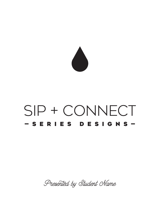

# SIP + CONNECT —Series Designs—

Presented by Student Name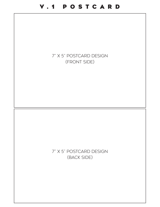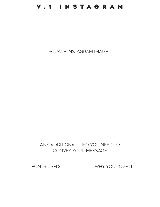### V.1 INSTAGRAM



Any additional info you need to convey your message

FONTS USED:

WHY YOU LOVE IT: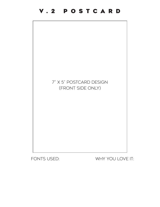

WHY YOU LOVE IT:

## 7" x 5" Postcard Design (Front Side Only)

## V.2 POSTCARD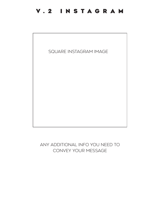#### V.2 INSTAGRAM



Any additional info you need to convey your message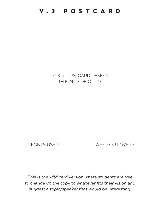#### V.3 POSTCARD

#### 7" x 5" Postcard Design (Front Side Only)

FONTS USED:

WHY YOU LOVE IT:

*This is the wild card version where students are free to change up the copy to whatever fits their vision and suggest a topic/speaker that would be interesting.*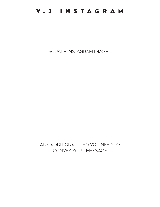#### V.3 INSTAGRAM



Any additional info you need to convey your message